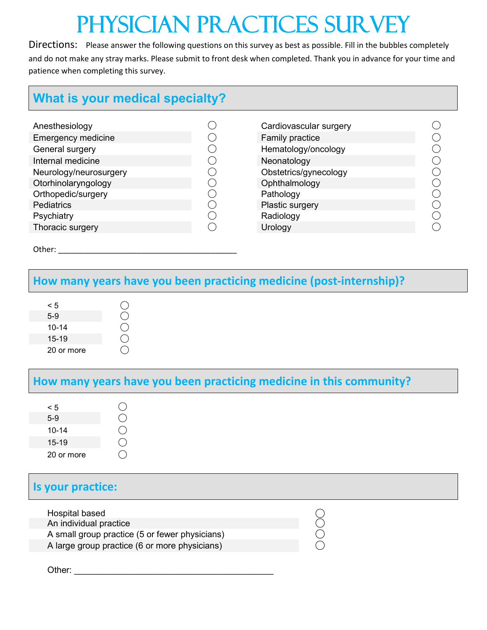# Physician Practices Survey

Directions: Please answer the following questions on this survey as best as possible. Fill in the bubbles completely and do not make any stray marks. Please submit to front desk when completed. Thank you in advance for your time and patience when completing this survey.

# **What is your medical specialty?**

| Anesthesiology            | Cardiovascular surgery |                                             |
|---------------------------|------------------------|---------------------------------------------|
| <b>Emergency medicine</b> | Family practice        |                                             |
| General surgery           | Hematology/oncology    |                                             |
| Internal medicine         | Neonatology            | $(\ )$                                      |
| Neurology/neurosurgery    | Obstetrics/gynecology  | $(\phantom{a})$                             |
| Otorhinolaryngology       | Ophthalmology          |                                             |
| Orthopedic/surgery        | Pathology              | $(\ )$                                      |
| <b>Pediatrics</b>         | Plastic surgery        |                                             |
| Psychiatry                | Radiology              | $\left(\begin{array}{c} \end{array}\right)$ |
| Thoracic surgery          | Urology                |                                             |
|                           |                        |                                             |

| Cardiovascular surgery |  |
|------------------------|--|
| <b>Family practice</b> |  |
| Hematology/oncology    |  |
| Neonatology            |  |
| Obstetrics/gynecology  |  |
| Ophthalmology          |  |
| Pathology              |  |
| Plastic surgery        |  |
| Radiology              |  |
| Urology                |  |

Other:  $\Box$ 

### **How many years have you been practicing medicine (post-internship)?**

| $\leq 5$   |  |
|------------|--|
| $5-9$      |  |
| $10 - 14$  |  |
| 15-19      |  |
| 20 or more |  |

## **How many years have you been practicing medicine in this community?**

# **Is your practice:**

| Hospital based                                 |  |
|------------------------------------------------|--|
| An individual practice                         |  |
| A small group practice (5 or fewer physicians) |  |
| A large group practice (6 or more physicians)  |  |

Other: \_\_\_\_\_\_\_\_\_\_\_\_\_\_\_\_\_\_\_\_\_\_\_\_\_\_\_\_\_\_\_\_\_\_\_\_\_\_\_\_\_